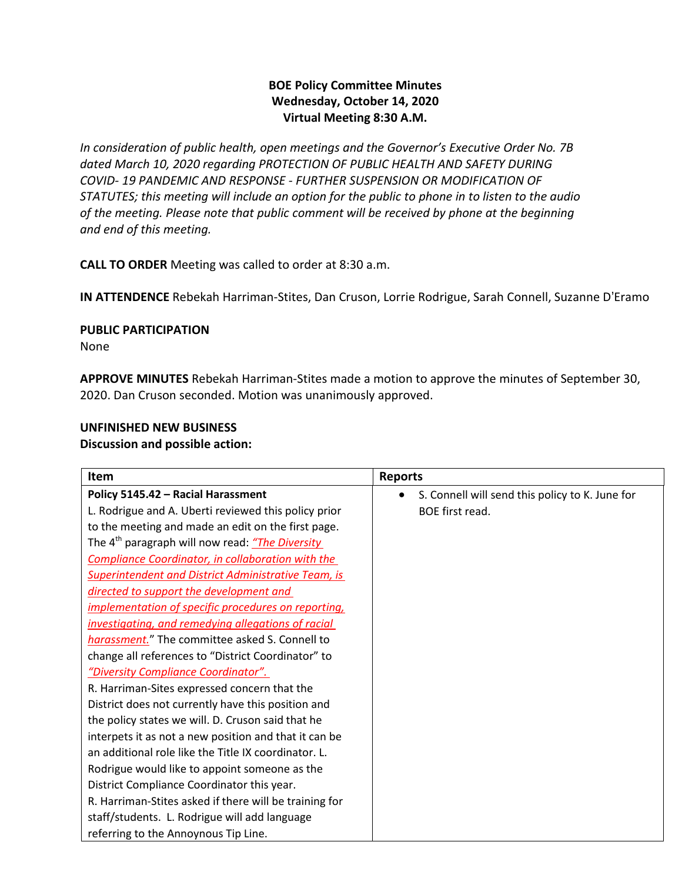## **BOE Policy Committee Minutes Wednesday, October 14, 2020 Virtual Meeting 8:30 A.M.**

*In consideration of public health, open meetings and the Governor's Executive Order No. 7B dated March 10, 2020 regarding PROTECTION OF PUBLIC HEALTH AND SAFETY DURING COVID- 19 PANDEMIC AND RESPONSE - FURTHER SUSPENSION OR MODIFICATION OF STATUTES; this meeting will include an option for the public to phone in to listen to the audio of the meeting. Please note that public comment will be received by phone at the beginning and end of this meeting.*

**CALL TO ORDER** Meeting was called to order at 8:30 a.m.

**IN ATTENDENCE** Rebekah Harriman-Stites, Dan Cruson, Lorrie Rodrigue, Sarah Connell, Suzanne D'Eramo

**PUBLIC PARTICIPATION** 

None

**APPROVE MINUTES** Rebekah Harriman-Stites made a motion to approve the minutes of September 30, 2020. Dan Cruson seconded. Motion was unanimously approved.

### **UNFINISHED NEW BUSINESS**

**Discussion and possible action:**

| <b>Item</b>                                                 | <b>Reports</b>                                  |
|-------------------------------------------------------------|-------------------------------------------------|
| Policy 5145.42 - Racial Harassment                          | S. Connell will send this policy to K. June for |
| L. Rodrigue and A. Uberti reviewed this policy prior        | BOE first read.                                 |
| to the meeting and made an edit on the first page.          |                                                 |
| The 4 <sup>th</sup> paragraph will now read: "The Diversity |                                                 |
| Compliance Coordinator, in collaboration with the           |                                                 |
| <b>Superintendent and District Administrative Team, is</b>  |                                                 |
| directed to support the development and                     |                                                 |
| implementation of specific procedures on reporting,         |                                                 |
| investigating, and remedying allegations of racial          |                                                 |
| harassment." The committee asked S. Connell to              |                                                 |
| change all references to "District Coordinator" to          |                                                 |
| "Diversity Compliance Coordinator".                         |                                                 |
| R. Harriman-Sites expressed concern that the                |                                                 |
| District does not currently have this position and          |                                                 |
| the policy states we will. D. Cruson said that he           |                                                 |
| interpets it as not a new position and that it can be       |                                                 |
| an additional role like the Title IX coordinator. L.        |                                                 |
| Rodrigue would like to appoint someone as the               |                                                 |
| District Compliance Coordinator this year.                  |                                                 |
| R. Harriman-Stites asked if there will be training for      |                                                 |
| staff/students. L. Rodrigue will add language               |                                                 |
| referring to the Annoynous Tip Line.                        |                                                 |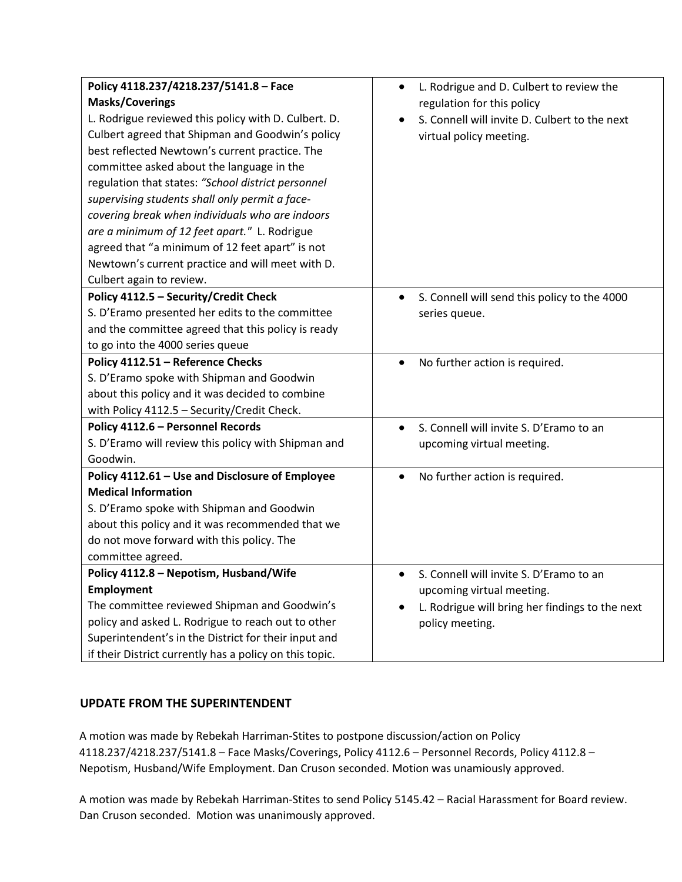| Policy 4118.237/4218.237/5141.8 - Face                  | L. Rodrigue and D. Culbert to review the<br>$\bullet$ |
|---------------------------------------------------------|-------------------------------------------------------|
| <b>Masks/Coverings</b>                                  | regulation for this policy                            |
| L. Rodrigue reviewed this policy with D. Culbert. D.    | S. Connell will invite D. Culbert to the next         |
| Culbert agreed that Shipman and Goodwin's policy        | virtual policy meeting.                               |
| best reflected Newtown's current practice. The          |                                                       |
| committee asked about the language in the               |                                                       |
| regulation that states: "School district personnel      |                                                       |
| supervising students shall only permit a face-          |                                                       |
| covering break when individuals who are indoors         |                                                       |
| are a minimum of 12 feet apart." L. Rodrigue            |                                                       |
| agreed that "a minimum of 12 feet apart" is not         |                                                       |
| Newtown's current practice and will meet with D.        |                                                       |
| Culbert again to review.                                |                                                       |
| Policy 4112.5 - Security/Credit Check                   | S. Connell will send this policy to the 4000          |
| S. D'Eramo presented her edits to the committee         | series queue.                                         |
| and the committee agreed that this policy is ready      |                                                       |
| to go into the 4000 series queue                        |                                                       |
| Policy 4112.51 - Reference Checks                       | No further action is required.<br>$\bullet$           |
| S. D'Eramo spoke with Shipman and Goodwin               |                                                       |
| about this policy and it was decided to combine         |                                                       |
| with Policy 4112.5 - Security/Credit Check.             |                                                       |
| Policy 4112.6 - Personnel Records                       | S. Connell will invite S. D'Eramo to an<br>$\bullet$  |
| S. D'Eramo will review this policy with Shipman and     | upcoming virtual meeting.                             |
| Goodwin.                                                |                                                       |
| Policy 4112.61 - Use and Disclosure of Employee         | No further action is required.<br>$\bullet$           |
| <b>Medical Information</b>                              |                                                       |
| S. D'Eramo spoke with Shipman and Goodwin               |                                                       |
| about this policy and it was recommended that we        |                                                       |
| do not move forward with this policy. The               |                                                       |
| committee agreed.                                       |                                                       |
| Policy 4112.8 – Nepotism, Husband/Wife                  | S. Connell will invite S. D'Eramo to an               |
| <b>Employment</b>                                       | upcoming virtual meeting.                             |
| The committee reviewed Shipman and Goodwin's            | L. Rodrigue will bring her findings to the next       |
| policy and asked L. Rodrigue to reach out to other      | policy meeting.                                       |
| Superintendent's in the District for their input and    |                                                       |
| if their District currently has a policy on this topic. |                                                       |

#### **UPDATE FROM THE SUPERINTENDENT**

A motion was made by Rebekah Harriman-Stites to postpone discussion/action on Policy 4118.237/4218.237/5141.8 – Face Masks/Coverings, Policy 4112.6 – Personnel Records, Policy 4112.8 – Nepotism, Husband/Wife Employment. Dan Cruson seconded. Motion was unamiously approved.

A motion was made by Rebekah Harriman-Stites to send Policy 5145.42 – Racial Harassment for Board review. Dan Cruson seconded. Motion was unanimously approved.